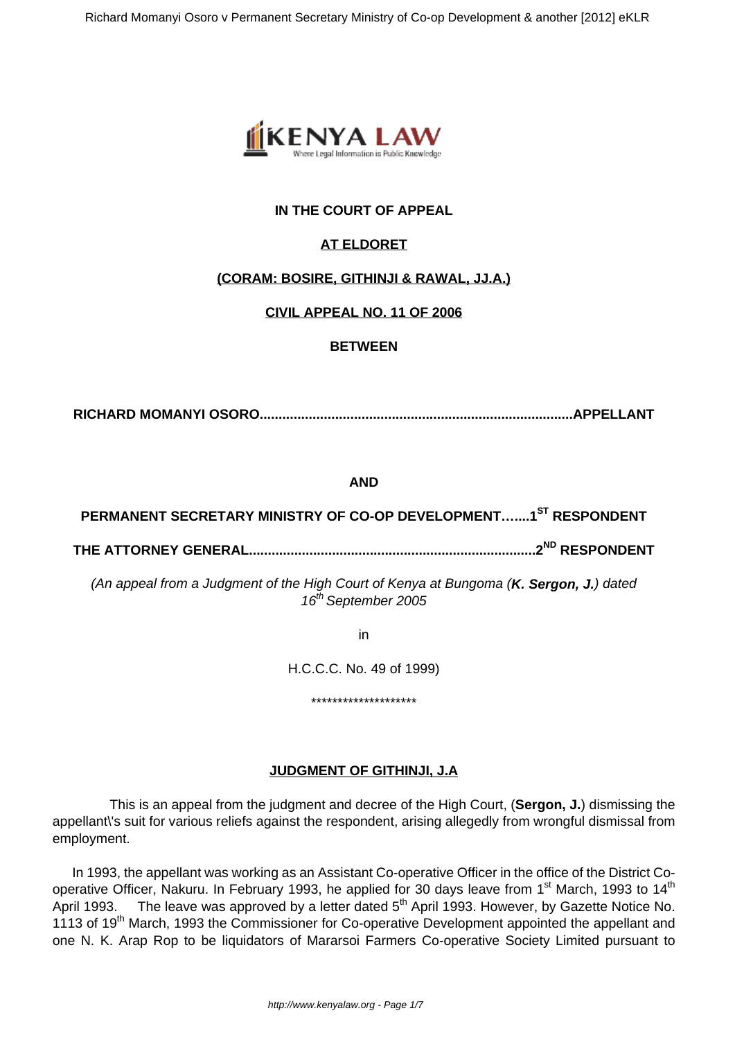

# **IN THE COURT OF APPEAL**

# **AT ELDORET**

## **(CORAM: BOSIRE, GITHINJI & RAWAL, JJ.A.)**

## **CIVIL APPEAL NO. 11 OF 2006**

## **BETWEEN**

**RICHARD MOMANYI OSORO...................................................................................APPELLANT**

## **AND**

**PERMANENT SECRETARY MINISTRY OF CO-OP DEVELOPMENT…....1ST RESPONDENT**

**THE ATTORNEY GENERAL............................................................................2ND RESPONDENT**

(An appeal from a Judgment of the High Court of Kenya at Bungoma (**K. Sergon, J.**) dated 16<sup>th</sup> September 2005

in

H.C.C.C. No. 49 of 1999)

\*\*\*\*\*\*\*\*\*\*\*\*\*\*\*\*\*\*\*\*

## **JUDGMENT OF GITHINJI, J.A**

 This is an appeal from the judgment and decree of the High Court, (**Sergon, J.**) dismissing the appellant\'s suit for various reliefs against the respondent, arising allegedly from wrongful dismissal from employment.

In 1993, the appellant was working as an Assistant Co-operative Officer in the office of the District Cooperative Officer, Nakuru. In February 1993, he applied for 30 days leave from 1<sup>st</sup> March, 1993 to 14<sup>th</sup> April 1993. The leave was approved by a letter dated 5<sup>th</sup> April 1993. However, by Gazette Notice No. 1113 of 19<sup>th</sup> March, 1993 the Commissioner for Co-operative Development appointed the appellant and one N. K. Arap Rop to be liquidators of Mararsoi Farmers Co-operative Society Limited pursuant to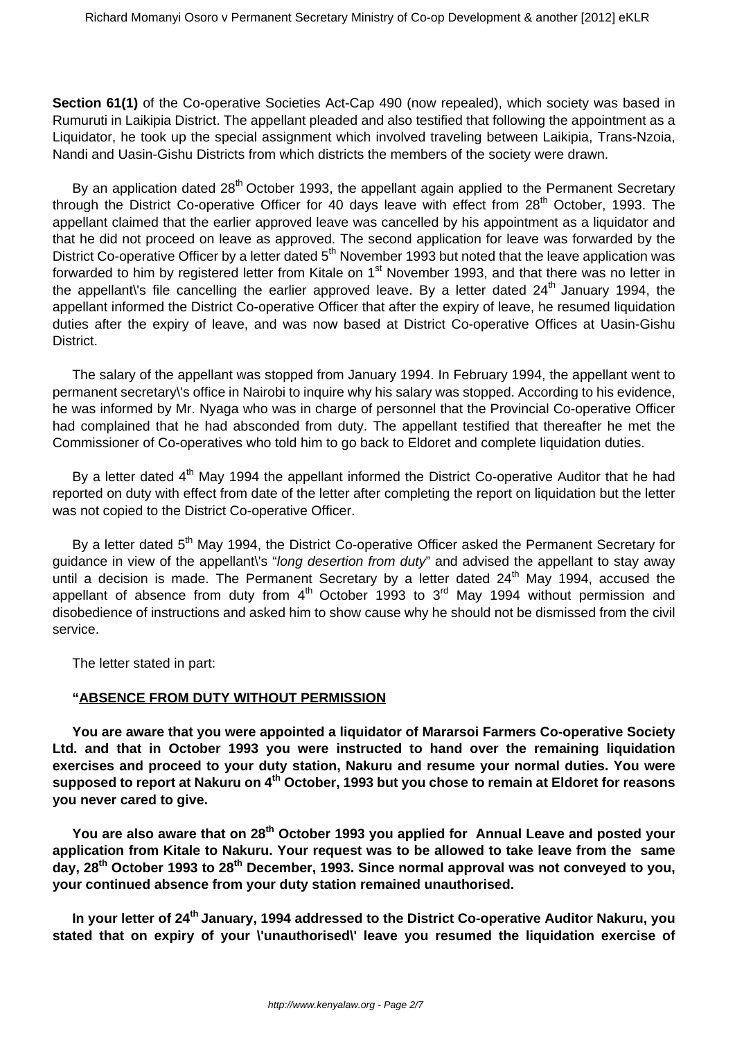**Section 61(1)** of the Co-operative Societies Act-Cap 490 (now repealed), which society was based in Rumuruti in Laikipia District. The appellant pleaded and also testified that following the appointment as a Liquidator, he took up the special assignment which involved traveling between Laikipia, Trans-Nzoia, Nandi and Uasin-Gishu Districts from which districts the members of the society were drawn.

By an application dated  $28<sup>th</sup>$  October 1993, the appellant again applied to the Permanent Secretary through the District Co-operative Officer for 40 days leave with effect from 28<sup>th</sup> October, 1993. The appellant claimed that the earlier approved leave was cancelled by his appointment as a liquidator and that he did not proceed on leave as approved. The second application for leave was forwarded by the District Co-operative Officer by a letter dated  $5<sup>th</sup>$  November 1993 but noted that the leave application was forwarded to him by registered letter from Kitale on 1<sup>st</sup> November 1993, and that there was no letter in the appellant's file cancelling the earlier approved leave. By a letter dated  $24<sup>th</sup>$  January 1994, the appellant informed the District Co-operative Officer that after the expiry of leave, he resumed liquidation duties after the expiry of leave, and was now based at District Co-operative Offices at Uasin-Gishu District.

The salary of the appellant was stopped from January 1994. In February 1994, the appellant went to permanent secretary\'s office in Nairobi to inquire why his salary was stopped. According to his evidence, he was informed by Mr. Nyaga who was in charge of personnel that the Provincial Co-operative Officer had complained that he had absconded from duty. The appellant testified that thereafter he met the Commissioner of Co-operatives who told him to go back to Eldoret and complete liquidation duties.

By a letter dated  $4<sup>th</sup>$  May 1994 the appellant informed the District Co-operative Auditor that he had reported on duty with effect from date of the letter after completing the report on liquidation but the letter was not copied to the District Co-operative Officer.

By a letter dated 5<sup>th</sup> May 1994, the District Co-operative Officer asked the Permanent Secretary for guidance in view of the appellant's "long desertion from duty" and advised the appellant to stay away until a decision is made. The Permanent Secretary by a letter dated 24<sup>th</sup> May 1994, accused the appellant of absence from duty from  $4<sup>th</sup>$  October 1993 to  $3<sup>rd</sup>$  May 1994 without permission and disobedience of instructions and asked him to show cause why he should not be dismissed from the civil service.

The letter stated in part:

## **"ABSENCE FROM DUTY WITHOUT PERMISSION**

**You are aware that you were appointed a liquidator of Mararsoi Farmers Co-operative Society Ltd. and that in October 1993 you were instructed to hand over the remaining liquidation exercises and proceed to your duty station, Nakuru and resume your normal duties. You were supposed to report at Nakuru on 4th October, 1993 but you chose to remain at Eldoret for reasons you never cared to give.**

**You are also aware that on 28th October 1993 you applied for Annual Leave and posted your application from Kitale to Nakuru. Your request was to be allowed to take leave from the same day, 28th October 1993 to 28th December, 1993. Since normal approval was not conveyed to you, your continued absence from your duty station remained unauthorised.**

**In your letter of 24th January, 1994 addressed to the District Co-operative Auditor Nakuru, you stated that on expiry of your \'unauthorised\' leave you resumed the liquidation exercise of**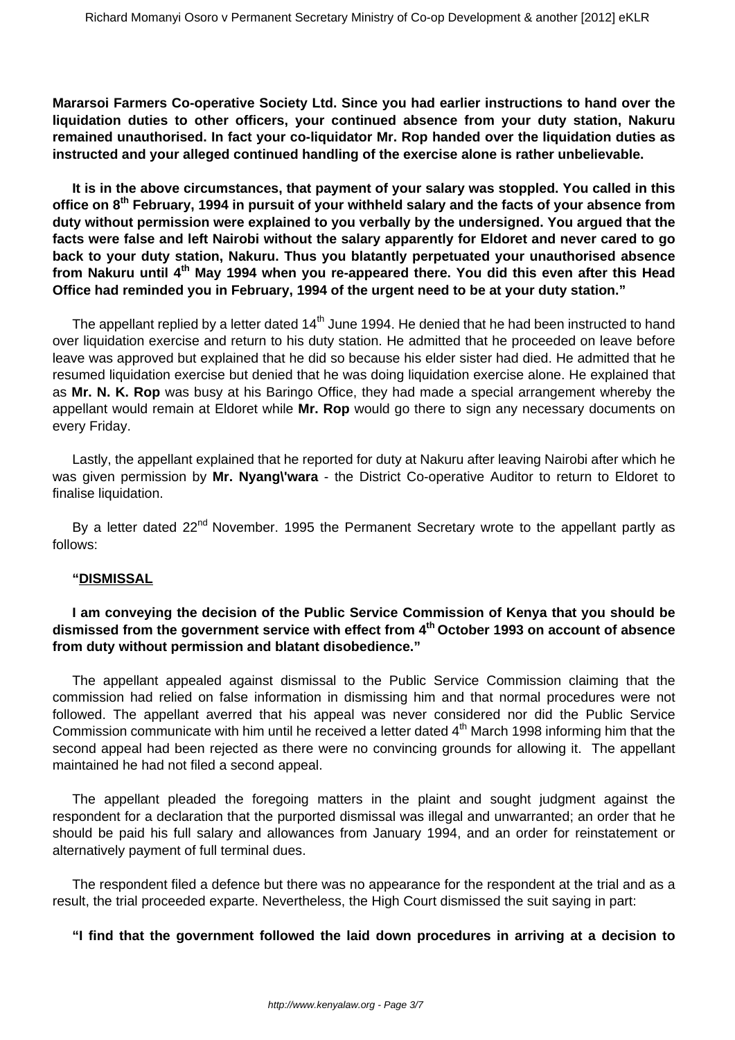**Mararsoi Farmers Co-operative Society Ltd. Since you had earlier instructions to hand over the liquidation duties to other officers, your continued absence from your duty station, Nakuru remained unauthorised. In fact your co-liquidator Mr. Rop handed over the liquidation duties as instructed and your alleged continued handling of the exercise alone is rather unbelievable.**

**It is in the above circumstances, that payment of your salary was stoppled. You called in this office on 8th February, 1994 in pursuit of your withheld salary and the facts of your absence from duty without permission were explained to you verbally by the undersigned. You argued that the facts were false and left Nairobi without the salary apparently for Eldoret and never cared to go back to your duty station, Nakuru. Thus you blatantly perpetuated your unauthorised absence from Nakuru until 4th May 1994 when you re-appeared there. You did this even after this Head Office had reminded you in February, 1994 of the urgent need to be at your duty station."**

The appellant replied by a letter dated 14<sup>th</sup> June 1994. He denied that he had been instructed to hand over liquidation exercise and return to his duty station. He admitted that he proceeded on leave before leave was approved but explained that he did so because his elder sister had died. He admitted that he resumed liquidation exercise but denied that he was doing liquidation exercise alone. He explained that as **Mr. N. K. Rop** was busy at his Baringo Office, they had made a special arrangement whereby the appellant would remain at Eldoret while **Mr. Rop** would go there to sign any necessary documents on every Friday.

Lastly, the appellant explained that he reported for duty at Nakuru after leaving Nairobi after which he was given permission by **Mr. Nyang\'wara** - the District Co-operative Auditor to return to Eldoret to finalise liquidation.

By a letter dated 22<sup>nd</sup> November. 1995 the Permanent Secretary wrote to the appellant partly as follows:

#### **"DISMISSAL**

## **I am conveying the decision of the Public Service Commission of Kenya that you should be dismissed from the government service with effect from 4th October 1993 on account of absence from duty without permission and blatant disobedience."**

The appellant appealed against dismissal to the Public Service Commission claiming that the commission had relied on false information in dismissing him and that normal procedures were not followed. The appellant averred that his appeal was never considered nor did the Public Service Commission communicate with him until he received a letter dated  $4<sup>th</sup>$  March 1998 informing him that the second appeal had been rejected as there were no convincing grounds for allowing it. The appellant maintained he had not filed a second appeal.

The appellant pleaded the foregoing matters in the plaint and sought judgment against the respondent for a declaration that the purported dismissal was illegal and unwarranted; an order that he should be paid his full salary and allowances from January 1994, and an order for reinstatement or alternatively payment of full terminal dues.

The respondent filed a defence but there was no appearance for the respondent at the trial and as a result, the trial proceeded exparte. Nevertheless, the High Court dismissed the suit saying in part:

#### **"I find that the government followed the laid down procedures in arriving at a decision to**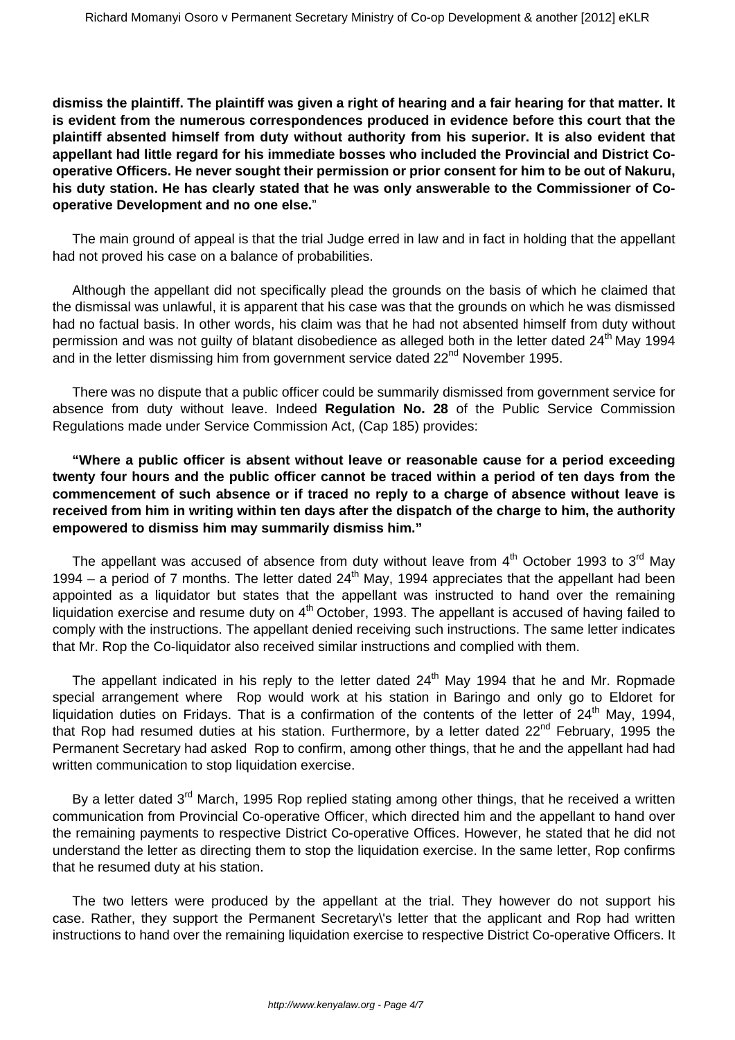**dismiss the plaintiff. The plaintiff was given a right of hearing and a fair hearing for that matter. It is evident from the numerous correspondences produced in evidence before this court that the plaintiff absented himself from duty without authority from his superior. It is also evident that appellant had little regard for his immediate bosses who included the Provincial and District Cooperative Officers. He never sought their permission or prior consent for him to be out of Nakuru, his duty station. He has clearly stated that he was only answerable to the Commissioner of Cooperative Development and no one else.**"

The main ground of appeal is that the trial Judge erred in law and in fact in holding that the appellant had not proved his case on a balance of probabilities.

Although the appellant did not specifically plead the grounds on the basis of which he claimed that the dismissal was unlawful, it is apparent that his case was that the grounds on which he was dismissed had no factual basis. In other words, his claim was that he had not absented himself from duty without permission and was not guilty of blatant disobedience as alleged both in the letter dated 24<sup>th</sup> May 1994 and in the letter dismissing him from government service dated 22<sup>nd</sup> November 1995.

There was no dispute that a public officer could be summarily dismissed from government service for absence from duty without leave. Indeed **Regulation No. 28** of the Public Service Commission Regulations made under Service Commission Act, (Cap 185) provides:

**"Where a public officer is absent without leave or reasonable cause for a period exceeding twenty four hours and the public officer cannot be traced within a period of ten days from the commencement of such absence or if traced no reply to a charge of absence without leave is received from him in writing within ten days after the dispatch of the charge to him, the authority empowered to dismiss him may summarily dismiss him."**

The appellant was accused of absence from duty without leave from  $4<sup>th</sup>$  October 1993 to  $3<sup>rd</sup>$  May 1994 – a period of 7 months. The letter dated  $24<sup>th</sup>$  May, 1994 appreciates that the appellant had been appointed as a liquidator but states that the appellant was instructed to hand over the remaining liquidation exercise and resume duty on 4<sup>th</sup> October, 1993. The appellant is accused of having failed to comply with the instructions. The appellant denied receiving such instructions. The same letter indicates that Mr. Rop the Co-liquidator also received similar instructions and complied with them.

The appellant indicated in his reply to the letter dated  $24<sup>th</sup>$  May 1994 that he and Mr. Ropmade special arrangement where Rop would work at his station in Baringo and only go to Eldoret for liquidation duties on Fridays. That is a confirmation of the contents of the letter of  $24<sup>th</sup>$  May, 1994, that Rop had resumed duties at his station. Furthermore, by a letter dated  $22^{nd}$  February, 1995 the Permanent Secretary had asked Rop to confirm, among other things, that he and the appellant had had written communication to stop liquidation exercise.

By a letter dated 3<sup>rd</sup> March, 1995 Rop replied stating among other things, that he received a written communication from Provincial Co-operative Officer, which directed him and the appellant to hand over the remaining payments to respective District Co-operative Offices. However, he stated that he did not understand the letter as directing them to stop the liquidation exercise. In the same letter, Rop confirms that he resumed duty at his station.

The two letters were produced by the appellant at the trial. They however do not support his case. Rather, they support the Permanent Secretary\'s letter that the applicant and Rop had written instructions to hand over the remaining liquidation exercise to respective District Co-operative Officers. It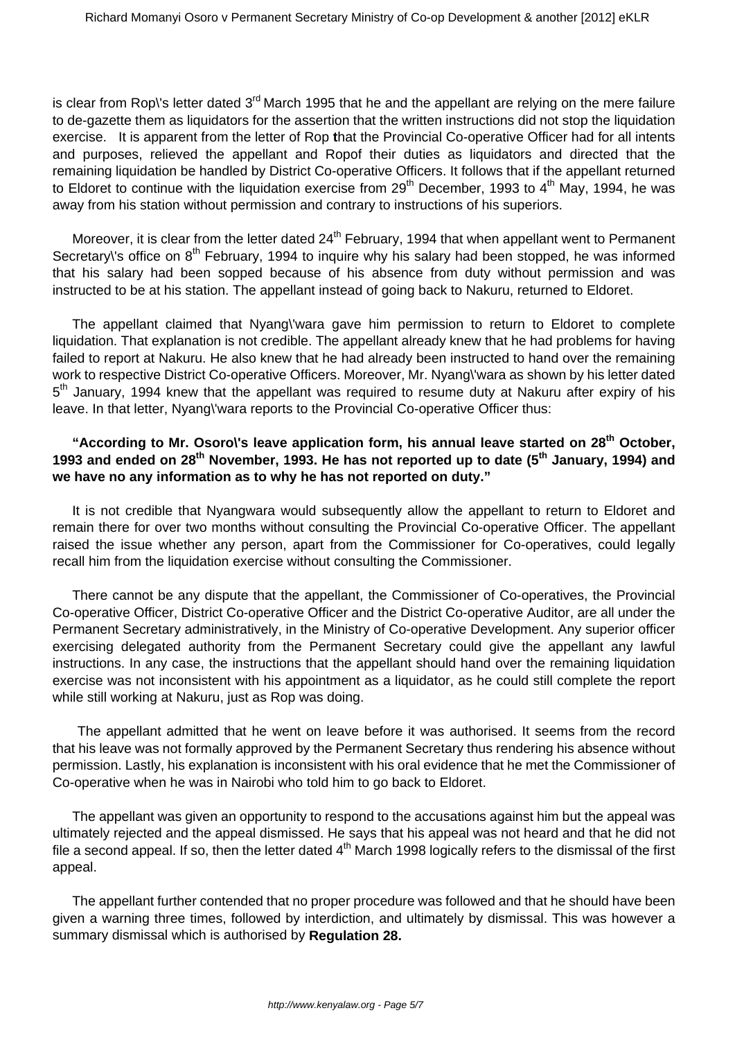is clear from Rop)'s letter dated  $3<sup>rd</sup>$  March 1995 that he and the appellant are relying on the mere failure to de-gazette them as liquidators for the assertion that the written instructions did not stop the liquidation exercise. It is apparent from the letter of Rop **t**hat the Provincial Co-operative Officer had for all intents and purposes, relieved the appellant and Ropof their duties as liquidators and directed that the remaining liquidation be handled by District Co-operative Officers. It follows that if the appellant returned to Eldoret to continue with the liquidation exercise from  $29<sup>th</sup>$  December, 1993 to  $4<sup>th</sup>$  May, 1994, he was away from his station without permission and contrary to instructions of his superiors.

Moreover, it is clear from the letter dated 24<sup>th</sup> February, 1994 that when appellant went to Permanent Secretary's office on 8<sup>th</sup> February, 1994 to inquire why his salary had been stopped, he was informed that his salary had been sopped because of his absence from duty without permission and was instructed to be at his station. The appellant instead of going back to Nakuru, returned to Eldoret.

The appellant claimed that Nyang\'wara gave him permission to return to Eldoret to complete liquidation. That explanation is not credible. The appellant already knew that he had problems for having failed to report at Nakuru. He also knew that he had already been instructed to hand over the remaining work to respective District Co-operative Officers. Moreover, Mr. Nyang\'wara as shown by his letter dated 5<sup>th</sup> January, 1994 knew that the appellant was required to resume duty at Nakuru after expiry of his leave. In that letter, Nyang\'wara reports to the Provincial Co-operative Officer thus:

## **"According to Mr. Osoro\'s leave application form, his annual leave started on 28th October, 1993 and ended on 28th November, 1993. He has not reported up to date (5th January, 1994) and we have no any information as to why he has not reported on duty."**

It is not credible that Nyangwara would subsequently allow the appellant to return to Eldoret and remain there for over two months without consulting the Provincial Co-operative Officer. The appellant raised the issue whether any person, apart from the Commissioner for Co-operatives, could legally recall him from the liquidation exercise without consulting the Commissioner.

There cannot be any dispute that the appellant, the Commissioner of Co-operatives, the Provincial Co-operative Officer, District Co-operative Officer and the District Co-operative Auditor, are all under the Permanent Secretary administratively, in the Ministry of Co-operative Development. Any superior officer exercising delegated authority from the Permanent Secretary could give the appellant any lawful instructions. In any case, the instructions that the appellant should hand over the remaining liquidation exercise was not inconsistent with his appointment as a liquidator, as he could still complete the report while still working at Nakuru, just as Rop was doing.

The appellant admitted that he went on leave before it was authorised. It seems from the record that his leave was not formally approved by the Permanent Secretary thus rendering his absence without permission. Lastly, his explanation is inconsistent with his oral evidence that he met the Commissioner of Co-operative when he was in Nairobi who told him to go back to Eldoret.

The appellant was given an opportunity to respond to the accusations against him but the appeal was ultimately rejected and the appeal dismissed. He says that his appeal was not heard and that he did not file a second appeal. If so, then the letter dated  $4<sup>th</sup>$  March 1998 logically refers to the dismissal of the first appeal.

The appellant further contended that no proper procedure was followed and that he should have been given a warning three times, followed by interdiction, and ultimately by dismissal. This was however a summary dismissal which is authorised by **Regulation 28.**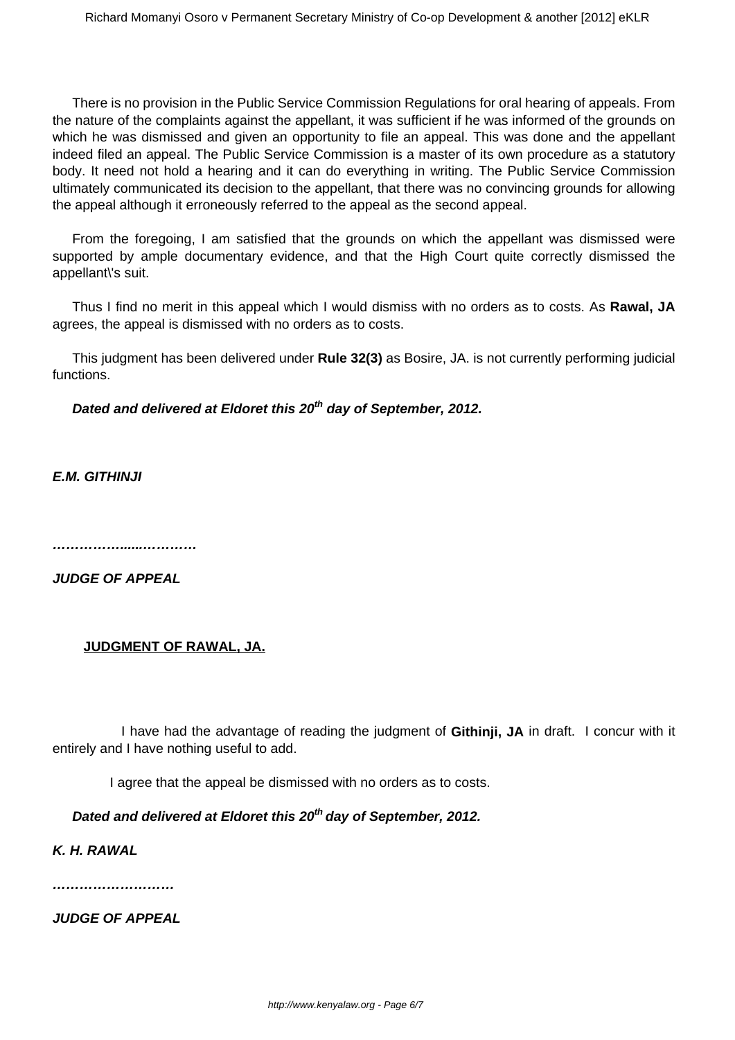There is no provision in the Public Service Commission Regulations for oral hearing of appeals. From the nature of the complaints against the appellant, it was sufficient if he was informed of the grounds on which he was dismissed and given an opportunity to file an appeal. This was done and the appellant indeed filed an appeal. The Public Service Commission is a master of its own procedure as a statutory body. It need not hold a hearing and it can do everything in writing. The Public Service Commission ultimately communicated its decision to the appellant, that there was no convincing grounds for allowing the appeal although it erroneously referred to the appeal as the second appeal.

From the foregoing, I am satisfied that the grounds on which the appellant was dismissed were supported by ample documentary evidence, and that the High Court quite correctly dismissed the appellant\'s suit.

Thus I find no merit in this appeal which I would dismiss with no orders as to costs. As **Rawal, JA** agrees, the appeal is dismissed with no orders as to costs.

This judgment has been delivered under **Rule 32(3)** as Bosire, JA. is not currently performing judicial functions.

**Dated and delivered at Eldoret this 20th day of September, 2012.**

**E.M. GITHINJI**

**……………......…………**

**JUDGE OF APPEAL**

#### **JUDGMENT OF RAWAL, JA.**

 I have had the advantage of reading the judgment of **Githinji, JA** in draft. I concur with it entirely and I have nothing useful to add.

I agree that the appeal be dismissed with no orders as to costs.

**Dated and delivered at Eldoret this 20th day of September, 2012.**

**K. H. RAWAL**

**………………………**

**JUDGE OF APPEAL**